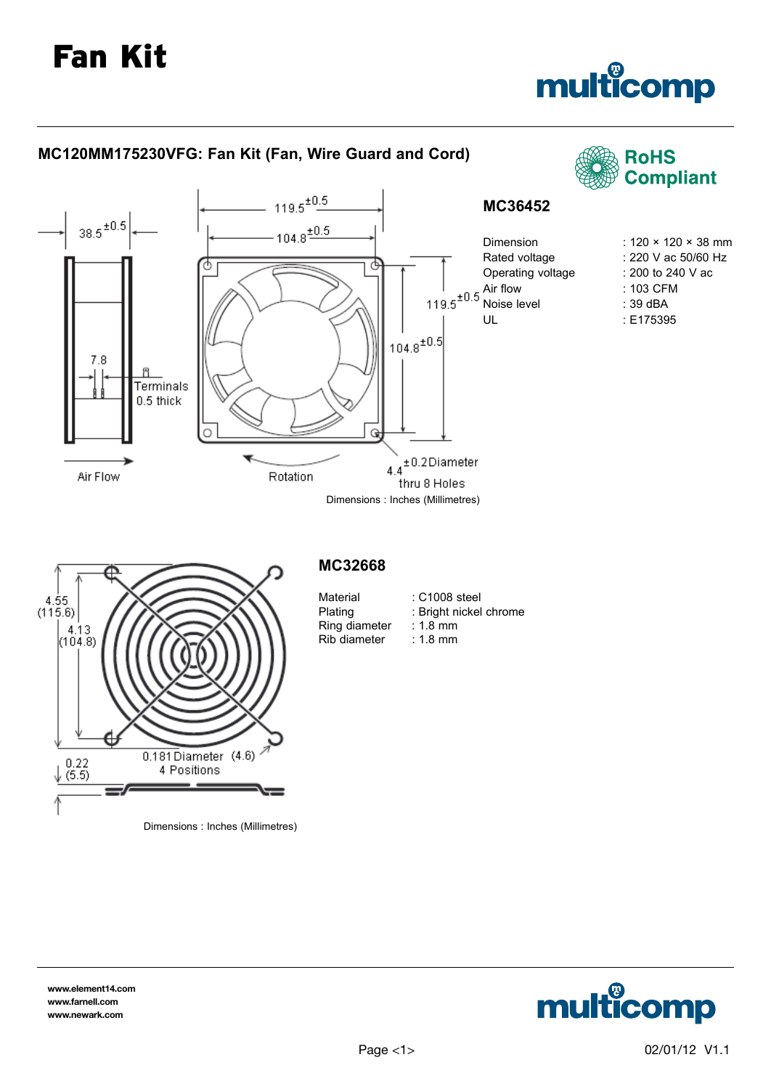